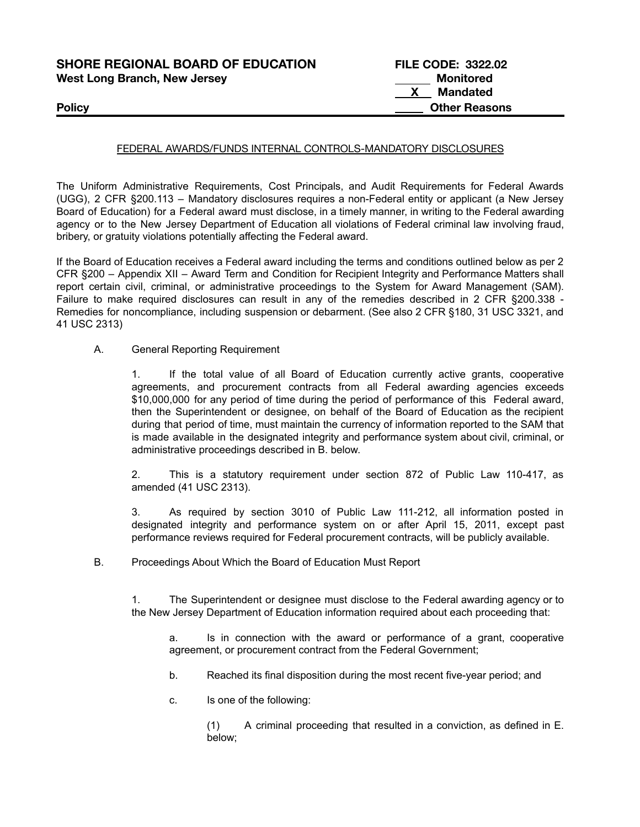| <b>SHORE REGIONAL BOARD OF EDUCATION</b> | <b>FILE CODE: 3322.02</b> |
|------------------------------------------|---------------------------|
| <b>West Long Branch, New Jersey</b>      | Monitored                 |
|                                          | Mandated                  |
| <b>Policy</b>                            | <b>Other Reasons</b>      |

### FEDERAL AWARDS/FUNDS INTERNAL CONTROLS-MANDATORY DISCLOSURES

The Uniform Administrative Requirements, Cost Principals, and Audit Requirements for Federal Awards (UGG), 2 CFR §200.113 – Mandatory disclosures requires a non-Federal entity or applicant (a New Jersey Board of Education) for a Federal award must disclose, in a timely manner, in writing to the Federal awarding agency or to the New Jersey Department of Education all violations of Federal criminal law involving fraud, bribery, or gratuity violations potentially affecting the Federal award.

If the Board of Education receives a Federal award including the terms and conditions outlined below as per 2 CFR §200 – Appendix XII – Award Term and Condition for Recipient Integrity and Performance Matters shall report certain civil, criminal, or administrative proceedings to the System for Award Management (SAM). Failure to make required disclosures can result in any of the remedies described in 2 CFR §200.338 -Remedies for noncompliance, including suspension or debarment. (See also 2 CFR §180, 31 USC 3321, and 41 USC 2313)

A. General Reporting Requirement

1. If the total value of all Board of Education currently active grants, cooperative agreements, and procurement contracts from all Federal awarding agencies exceeds \$10,000,000 for any period of time during the period of performance of this Federal award, then the Superintendent or designee, on behalf of the Board of Education as the recipient during that period of time, must maintain the currency of information reported to the SAM that is made available in the designated integrity and performance system about civil, criminal, or administrative proceedings described in B. below.

2. This is a statutory requirement under section 872 of Public Law 110-417, as amended (41 USC 2313).

3. As required by section 3010 of Public Law 111-212, all information posted in designated integrity and performance system on or after April 15, 2011, except past performance reviews required for Federal procurement contracts, will be publicly available.

B. Proceedings About Which the Board of Education Must Report

1. The Superintendent or designee must disclose to the Federal awarding agency or to the New Jersey Department of Education information required about each proceeding that:

a. Is in connection with the award or performance of a grant, cooperative agreement, or procurement contract from the Federal Government;

- b. Reached its final disposition during the most recent five-year period; and
- c. Is one of the following:

(1) A criminal proceeding that resulted in a conviction, as defined in E. below;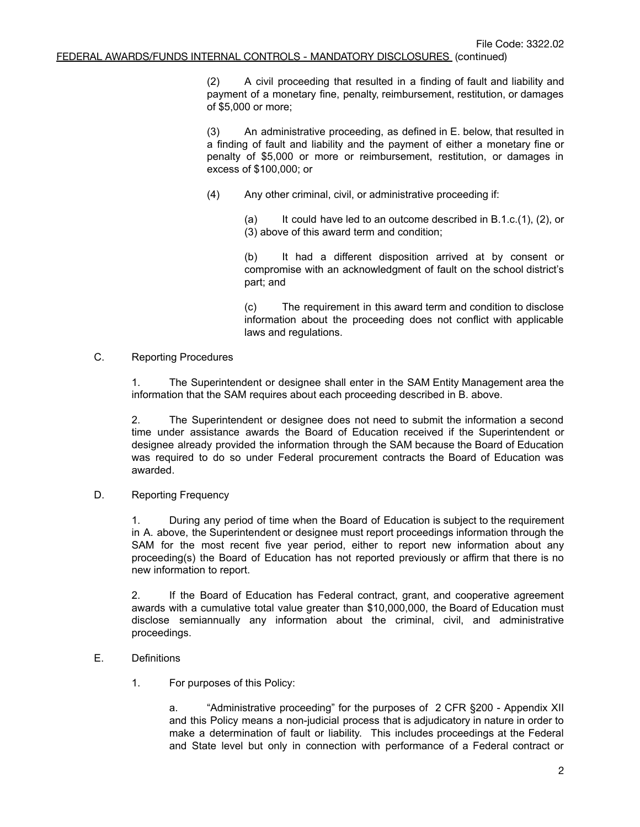(2) A civil proceeding that resulted in a finding of fault and liability and payment of a monetary fine, penalty, reimbursement, restitution, or damages of \$5,000 or more;

(3) An administrative proceeding, as defined in E. below, that resulted in a finding of fault and liability and the payment of either a monetary fine or penalty of \$5,000 or more or reimbursement, restitution, or damages in excess of \$100,000; or

(4) Any other criminal, civil, or administrative proceeding if:

(a) It could have led to an outcome described in  $B.1.c.(1)$ ,  $(2)$ , or (3) above of this award term and condition;

(b) It had a different disposition arrived at by consent or compromise with an acknowledgment of fault on the school district's part; and

(c) The requirement in this award term and condition to disclose information about the proceeding does not conflict with applicable laws and regulations.

### C. Reporting Procedures

1. The Superintendent or designee shall enter in the SAM Entity Management area the information that the SAM requires about each proceeding described in B. above.

2. The Superintendent or designee does not need to submit the information a second time under assistance awards the Board of Education received if the Superintendent or designee already provided the information through the SAM because the Board of Education was required to do so under Federal procurement contracts the Board of Education was awarded.

## D. Reporting Frequency

1. During any period of time when the Board of Education is subject to the requirement in A. above, the Superintendent or designee must report proceedings information through the SAM for the most recent five year period, either to report new information about any proceeding(s) the Board of Education has not reported previously or affirm that there is no new information to report.

2. If the Board of Education has Federal contract, grant, and cooperative agreement awards with a cumulative total value greater than \$10,000,000, the Board of Education must disclose semiannually any information about the criminal, civil, and administrative proceedings.

# E. Definitions

1. For purposes of this Policy:

a. "Administrative proceeding" for the purposes of 2 CFR §200 - Appendix XII and this Policy means a non-judicial process that is adjudicatory in nature in order to make a determination of fault or liability. This includes proceedings at the Federal and State level but only in connection with performance of a Federal contract or